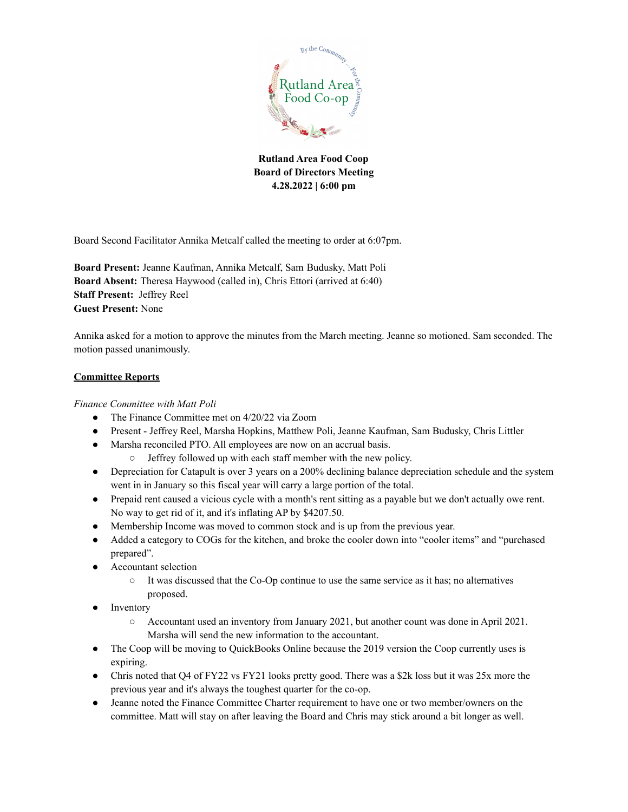

Board Second Facilitator Annika Metcalf called the meeting to order at 6:07pm.

**Board Present:** Jeanne Kaufman, Annika Metcalf, Sam Budusky, Matt Poli **Board Absent:** Theresa Haywood (called in), Chris Ettori (arrived at 6:40) **Staff Present:** Jeffrey Reel **Guest Present:** None

Annika asked for a motion to approve the minutes from the March meeting. Jeanne so motioned. Sam seconded. The motion passed unanimously.

### **Committee Reports**

### *Finance Committee with Matt Poli*

- The Finance Committee met on 4/20/22 via Zoom
- Present Jeffrey Reel, Marsha Hopkins, Matthew Poli, Jeanne Kaufman, Sam Budusky, Chris Littler
- Marsha reconciled PTO. All employees are now on an accrual basis.
	- Jeffrey followed up with each staff member with the new policy.
- Depreciation for Catapult is over 3 years on a 200% declining balance depreciation schedule and the system went in in January so this fiscal year will carry a large portion of the total.
- Prepaid rent caused a vicious cycle with a month's rent sitting as a payable but we don't actually owe rent. No way to get rid of it, and it's inflating AP by \$4207.50.
- Membership Income was moved to common stock and is up from the previous year.
- Added a category to COGs for the kitchen, and broke the cooler down into "cooler items" and "purchased prepared".
- Accountant selection
	- It was discussed that the Co-Op continue to use the same service as it has; no alternatives proposed.
- Inventory
	- Accountant used an inventory from January 2021, but another count was done in April 2021. Marsha will send the new information to the accountant.
- The Coop will be moving to QuickBooks Online because the 2019 version the Coop currently uses is expiring.
- Chris noted that Q4 of FY22 vs FY21 looks pretty good. There was a \$2k loss but it was 25x more the previous year and it's always the toughest quarter for the co-op.
- Jeanne noted the Finance Committee Charter requirement to have one or two member/owners on the committee. Matt will stay on after leaving the Board and Chris may stick around a bit longer as well.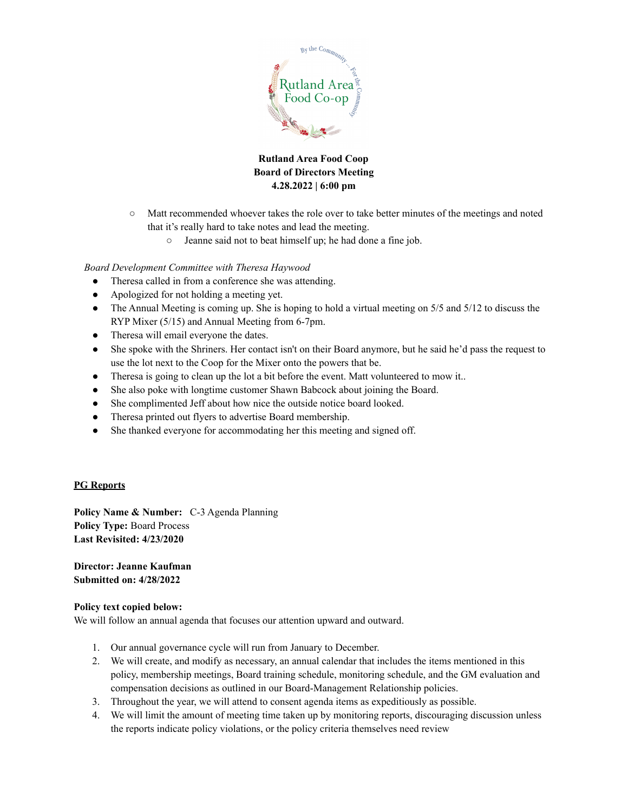

- Matt recommended whoever takes the role over to take better minutes of the meetings and noted that it's really hard to take notes and lead the meeting.
	- Jeanne said not to beat himself up; he had done a fine job.

## *Board Development Committee with Theresa Haywood*

- Theresa called in from a conference she was attending.
- Apologized for not holding a meeting yet.
- $\bullet$  The Annual Meeting is coming up. She is hoping to hold a virtual meeting on 5/5 and 5/12 to discuss the RYP Mixer (5/15) and Annual Meeting from 6-7pm.
- Theresa will email everyone the dates.
- She spoke with the Shriners. Her contact isn't on their Board anymore, but he said he'd pass the request to use the lot next to the Coop for the Mixer onto the powers that be.
- Theresa is going to clean up the lot a bit before the event. Matt volunteered to mow it..
- She also poke with longtime customer Shawn Babcock about joining the Board.
- She complimented Jeff about how nice the outside notice board looked.
- Theresa printed out flyers to advertise Board membership.
- She thanked everyone for accommodating her this meeting and signed off.

## **PG Reports**

**Policy Name & Number:** C-3 Agenda Planning **Policy Type:** Board Process **Last Revisited: 4/23/2020**

**Director: Jeanne Kaufman Submitted on: 4/28/2022**

#### **Policy text copied below:**

We will follow an annual agenda that focuses our attention upward and outward.

- 1. Our annual governance cycle will run from January to December.
- 2. We will create, and modify as necessary, an annual calendar that includes the items mentioned in this policy, membership meetings, Board training schedule, monitoring schedule, and the GM evaluation and compensation decisions as outlined in our Board-Management Relationship policies.
- 3. Throughout the year, we will attend to consent agenda items as expeditiously as possible.
- 4. We will limit the amount of meeting time taken up by monitoring reports, discouraging discussion unless the reports indicate policy violations, or the policy criteria themselves need review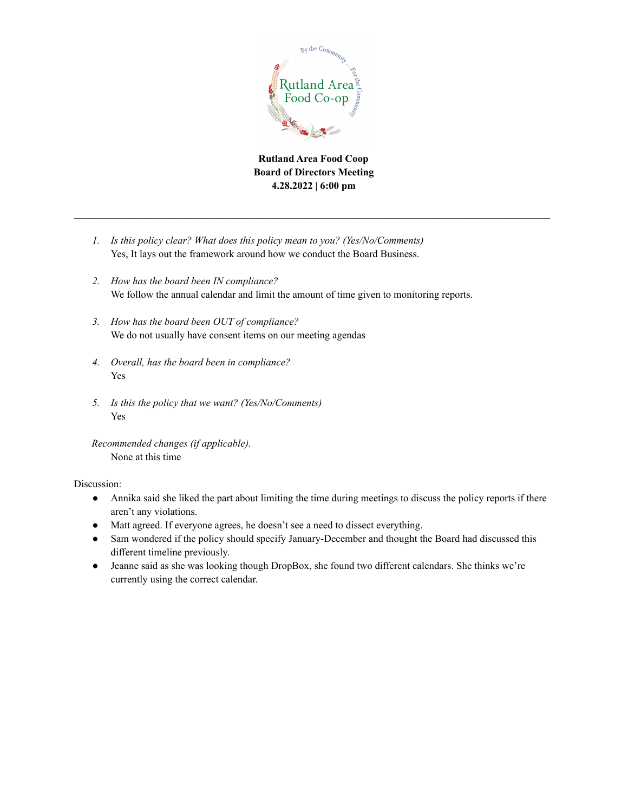

**Rutland Area Food Coop Board of Directors Meeting 4.28.2022 | 6:00 pm**

- *1. Is this policy clear? What does this policy mean to you? (Yes/No/Comments)* Yes, It lays out the framework around how we conduct the Board Business.
- *2. How has the board been IN compliance?* We follow the annual calendar and limit the amount of time given to monitoring reports.
- *3. How has the board been OUT of compliance?* We do not usually have consent items on our meeting agendas
- *4. Overall, has the board been in compliance?* Yes
- *5. Is this the policy that we want? (Yes/No/Comments)* Yes

*Recommended changes (if applicable).* None at this time

Discussion:

- Annika said she liked the part about limiting the time during meetings to discuss the policy reports if there aren't any violations.
- Matt agreed. If everyone agrees, he doesn't see a need to dissect everything.
- Sam wondered if the policy should specify January-December and thought the Board had discussed this different timeline previously.
- Jeanne said as she was looking though DropBox, she found two different calendars. She thinks we're currently using the correct calendar.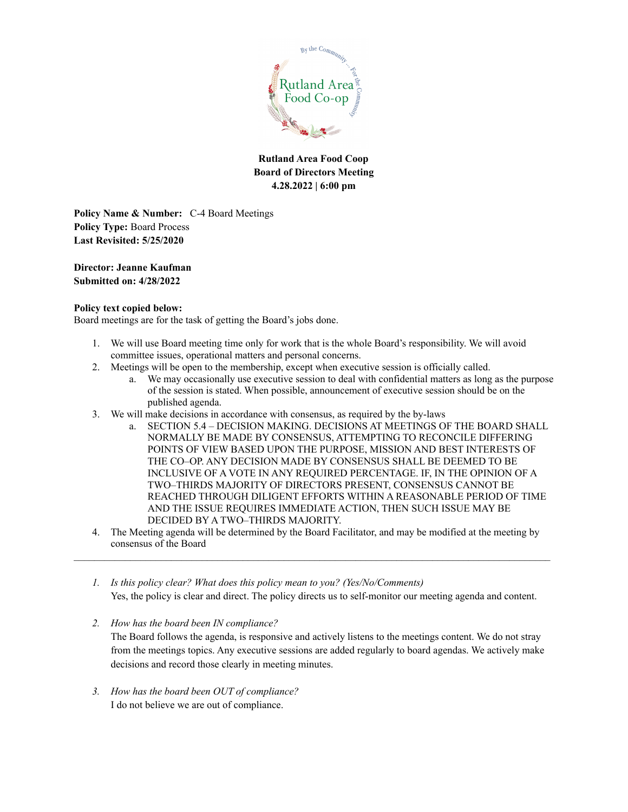

**Policy Name & Number:** C-4 Board Meetings **Policy Type:** Board Process **Last Revisited: 5/25/2020**

**Director: Jeanne Kaufman Submitted on: 4/28/2022**

### **Policy text copied below:**

Board meetings are for the task of getting the Board's jobs done.

- 1. We will use Board meeting time only for work that is the whole Board's responsibility. We will avoid committee issues, operational matters and personal concerns.
- 2. Meetings will be open to the membership, except when executive session is officially called.
	- a. We may occasionally use executive session to deal with confidential matters as long as the purpose of the session is stated. When possible, announcement of executive session should be on the published agenda.
- 3. We will make decisions in accordance with consensus, as required by the by-laws
	- a. SECTION 5.4 DECISION MAKING. DECISIONS AT MEETINGS OF THE BOARD SHALL NORMALLY BE MADE BY CONSENSUS, ATTEMPTING TO RECONCILE DIFFERING POINTS OF VIEW BASED UPON THE PURPOSE, MISSION AND BEST INTERESTS OF THE CO–OP. ANY DECISION MADE BY CONSENSUS SHALL BE DEEMED TO BE INCLUSIVE OF A VOTE IN ANY REQUIRED PERCENTAGE. IF, IN THE OPINION OF A TWO–THIRDS MAJORITY OF DIRECTORS PRESENT, CONSENSUS CANNOT BE REACHED THROUGH DILIGENT EFFORTS WITHIN A REASONABLE PERIOD OF TIME AND THE ISSUE REQUIRES IMMEDIATE ACTION, THEN SUCH ISSUE MAY BE DECIDED BY A TWO–THIRDS MAJORITY.
- 4. The Meeting agenda will be determined by the Board Facilitator, and may be modified at the meeting by consensus of the Board  $\mathcal{L}_\mathcal{L} = \{ \mathcal{L}_\mathcal{L} = \{ \mathcal{L}_\mathcal{L} = \{ \mathcal{L}_\mathcal{L} = \{ \mathcal{L}_\mathcal{L} = \{ \mathcal{L}_\mathcal{L} = \{ \mathcal{L}_\mathcal{L} = \{ \mathcal{L}_\mathcal{L} = \{ \mathcal{L}_\mathcal{L} = \{ \mathcal{L}_\mathcal{L} = \{ \mathcal{L}_\mathcal{L} = \{ \mathcal{L}_\mathcal{L} = \{ \mathcal{L}_\mathcal{L} = \{ \mathcal{L}_\mathcal{L} = \{ \mathcal{L}_\mathcal{$ 
	- *1. Is this policy clear? What does this policy mean to you? (Yes/No/Comments)* Yes, the policy is clear and direct. The policy directs us to self-monitor our meeting agenda and content.
	- *2. How has the board been IN compliance?* The Board follows the agenda, is responsive and actively listens to the meetings content. We do not stray from the meetings topics. Any executive sessions are added regularly to board agendas. We actively make decisions and record those clearly in meeting minutes.
	- *3. How has the board been OUT of compliance?* I do not believe we are out of compliance.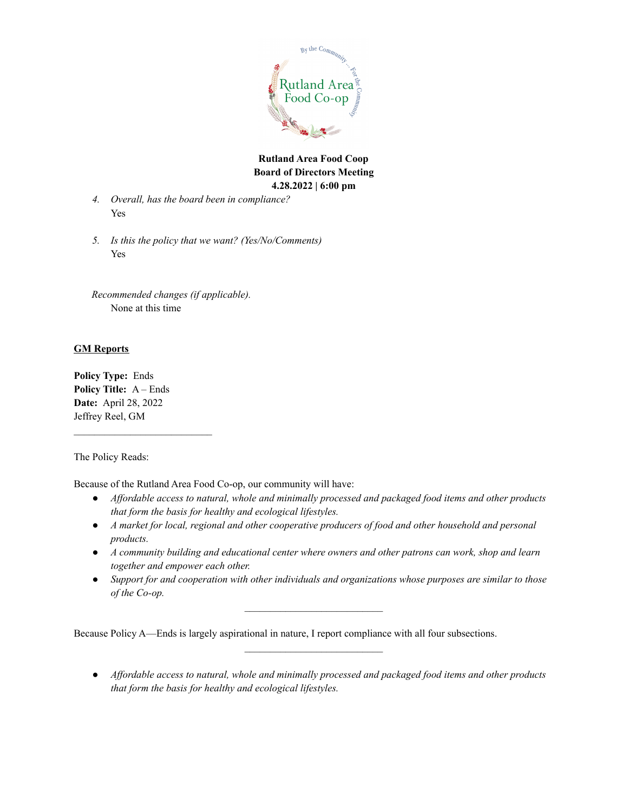

- *4. Overall, has the board been in compliance?* Yes
- *5. Is this the policy that we want? (Yes/No/Comments)* Yes

*Recommended changes (if applicable).* None at this time

## **GM Reports**

**Policy Type:** Ends **Policy Title:** A – Ends **Date:** April 28, 2022 Jeffrey Reel, GM

The Policy Reads:

Because of the Rutland Area Food Co-op, our community will have:

- *● Af ordable access to natural, whole and minimally processed and packaged food items and other products that form the basis for healthy and ecological lifestyles.*
- *● A market for local, regional and other cooperative producers of food and other household and personal products.*
- *● A community building and educational center where owners and other patrons can work, shop and learn together and empower each other.*
- *● Support for and cooperation with other individuals and organizations whose purposes are similar to those of the Co-op.*

 $\mathcal{L}_\text{max}$  , where  $\mathcal{L}_\text{max}$  and  $\mathcal{L}_\text{max}$ 

 $\mathcal{L}_\text{max}$  , where  $\mathcal{L}_\text{max}$  and  $\mathcal{L}_\text{max}$ 

Because Policy A—Ends is largely aspirational in nature, I report compliance with all four subsections.

*● Af ordable access to natural, whole and minimally processed and packaged food items and other products that form the basis for healthy and ecological lifestyles.*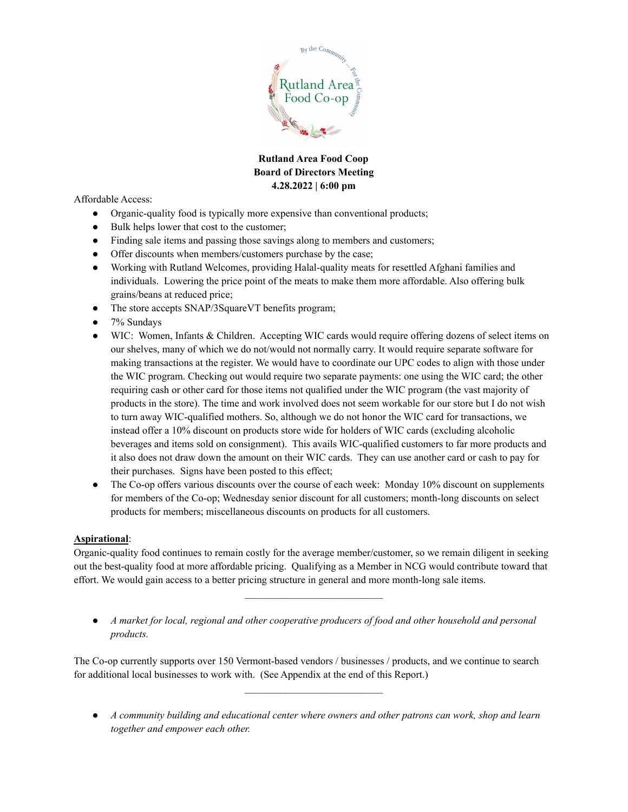

Affordable Access:

- Organic-quality food is typically more expensive than conventional products;
- Bulk helps lower that cost to the customer;
- Finding sale items and passing those savings along to members and customers;
- Offer discounts when members/customers purchase by the case;
- Working with Rutland Welcomes, providing Halal-quality meats for resettled Afghani families and individuals. Lowering the price point of the meats to make them more affordable. Also offering bulk grains/beans at reduced price;
- The store accepts SNAP/3SquareVT benefits program;
- 7% Sundays
- WIC: Women, Infants & Children. Accepting WIC cards would require offering dozens of select items on our shelves, many of which we do not/would not normally carry. It would require separate software for making transactions at the register. We would have to coordinate our UPC codes to align with those under the WIC program. Checking out would require two separate payments: one using the WIC card; the other requiring cash or other card for those items not qualified under the WIC program (the vast majority of products in the store). The time and work involved does not seem workable for our store but I do not wish to turn away WIC-qualified mothers. So, although we do not honor the WIC card for transactions, we instead offer a 10% discount on products store wide for holders of WIC cards (excluding alcoholic beverages and items sold on consignment). This avails WIC-qualified customers to far more products and it also does not draw down the amount on their WIC cards. They can use another card or cash to pay for their purchases. Signs have been posted to this effect;
- The Co-op offers various discounts over the course of each week: Monday 10% discount on supplements for members of the Co-op; Wednesday senior discount for all customers; month-long discounts on select products for members; miscellaneous discounts on products for all customers.

### **Aspirational**:

Organic-quality food continues to remain costly for the average member/customer, so we remain diligent in seeking out the best-quality food at more affordable pricing. Qualifying as a Member in NCG would contribute toward that effort. We would gain access to a better pricing structure in general and more month-long sale items.

*● A market for local, regional and other cooperative producers of food and other household and personal products.*

 $\mathcal{L}_\text{max}$  , where  $\mathcal{L}_\text{max}$  and  $\mathcal{L}_\text{max}$ 

The Co-op currently supports over 150 Vermont-based vendors / businesses / products, and we continue to search for additional local businesses to work with. (See Appendix at the end of this Report.)

*● A community building and educational center where owners and other patrons can work, shop and learn together and empower each other.*

 $\mathcal{L}_\text{max}$  , where  $\mathcal{L}_\text{max}$  and  $\mathcal{L}_\text{max}$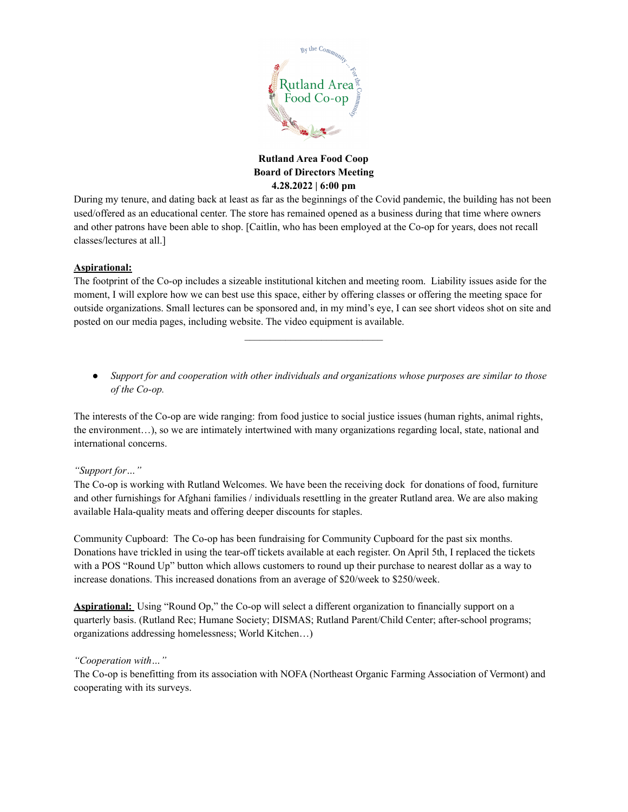

During my tenure, and dating back at least as far as the beginnings of the Covid pandemic, the building has not been used/offered as an educational center. The store has remained opened as a business during that time where owners and other patrons have been able to shop. [Caitlin, who has been employed at the Co-op for years, does not recall classes/lectures at all.]

### **Aspirational:**

The footprint of the Co-op includes a sizeable institutional kitchen and meeting room. Liability issues aside for the moment, I will explore how we can best use this space, either by offering classes or offering the meeting space for outside organizations. Small lectures can be sponsored and, in my mind's eye, I can see short videos shot on site and posted on our media pages, including website. The video equipment is available.

 $\mathcal{L}_\text{max}$ 

*● Support for and cooperation with other individuals and organizations whose purposes are similar to those of the Co-op.*

The interests of the Co-op are wide ranging: from food justice to social justice issues (human rights, animal rights, the environment…), so we are intimately intertwined with many organizations regarding local, state, national and international concerns.

### *"Support for…"*

The Co-op is working with Rutland Welcomes. We have been the receiving dock for donations of food, furniture and other furnishings for Afghani families / individuals resettling in the greater Rutland area. We are also making available Hala-quality meats and offering deeper discounts for staples.

Community Cupboard: The Co-op has been fundraising for Community Cupboard for the past six months. Donations have trickled in using the tear-off tickets available at each register. On April 5th, I replaced the tickets with a POS "Round Up" button which allows customers to round up their purchase to nearest dollar as a way to increase donations. This increased donations from an average of \$20/week to \$250/week.

**Aspirational:** Using "Round Op," the Co-op will select a different organization to financially support on a quarterly basis. (Rutland Rec; Humane Society; DISMAS; Rutland Parent/Child Center; after-school programs; organizations addressing homelessness; World Kitchen…)

### *"Cooperation with…"*

The Co-op is benefitting from its association with NOFA (Northeast Organic Farming Association of Vermont) and cooperating with its surveys.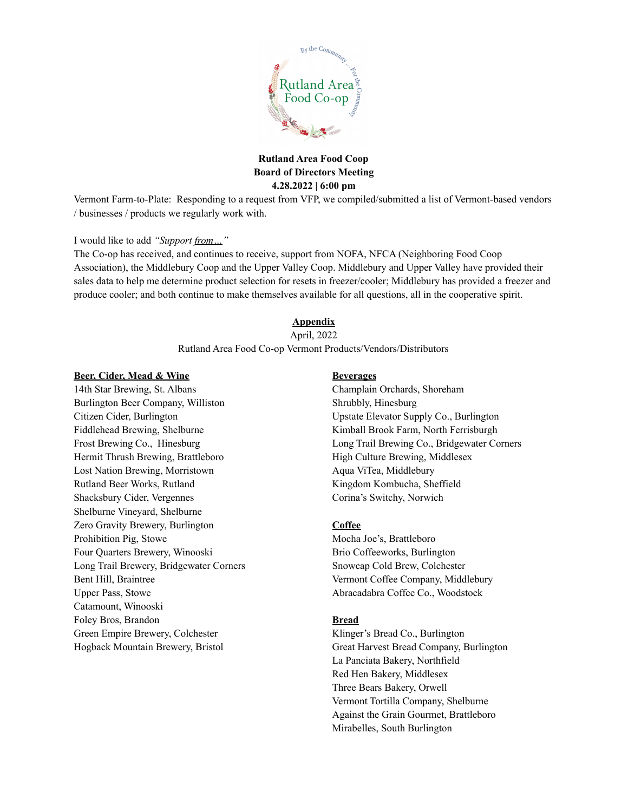

Vermont Farm-to-Plate: Responding to a request from VFP, we compiled/submitted a list of Vermont-based vendors / businesses / products we regularly work with.

### I would like to add *"Support from…"*

The Co-op has received, and continues to receive, support from NOFA, NFCA (Neighboring Food Coop Association), the Middlebury Coop and the Upper Valley Coop. Middlebury and Upper Valley have provided their sales data to help me determine product selection for resets in freezer/cooler; Middlebury has provided a freezer and produce cooler; and both continue to make themselves available for all questions, all in the cooperative spirit.

### **Appendix**

April, 2022

Rutland Area Food Co-op Vermont Products/Vendors/Distributors

#### **Beer, Cider, Mead & Wine**

14th Star Brewing, St. Albans Burlington Beer Company, Williston Citizen Cider, Burlington Fiddlehead Brewing, Shelburne Frost Brewing Co., Hinesburg Hermit Thrush Brewing, Brattleboro Lost Nation Brewing, Morristown Rutland Beer Works, Rutland Shacksbury Cider, Vergennes Shelburne Vineyard, Shelburne Zero Gravity Brewery, Burlington Prohibition Pig, Stowe Four Quarters Brewery, Winooski Long Trail Brewery, Bridgewater Corners Bent Hill, Braintree Upper Pass, Stowe Catamount, Winooski Foley Bros, Brandon Green Empire Brewery, Colchester Hogback Mountain Brewery, Bristol

#### **Beverages**

Champlain Orchards, Shoreham Shrubbly, Hinesburg Upstate Elevator Supply Co., Burlington Kimball Brook Farm, North Ferrisburgh Long Trail Brewing Co., Bridgewater Corners High Culture Brewing, Middlesex Aqua ViTea, Middlebury Kingdom Kombucha, Sheffield Corina's Switchy, Norwich

### **Coffee**

Mocha Joe's, Brattleboro Brio Coffeeworks, Burlington Snowcap Cold Brew, Colchester Vermont Coffee Company, Middlebury Abracadabra Coffee Co., Woodstock

#### **Bread**

Klinger's Bread Co., Burlington Great Harvest Bread Company, Burlington La Panciata Bakery, Northfield Red Hen Bakery, Middlesex Three Bears Bakery, Orwell Vermont Tortilla Company, Shelburne Against the Grain Gourmet, Brattleboro Mirabelles, South Burlington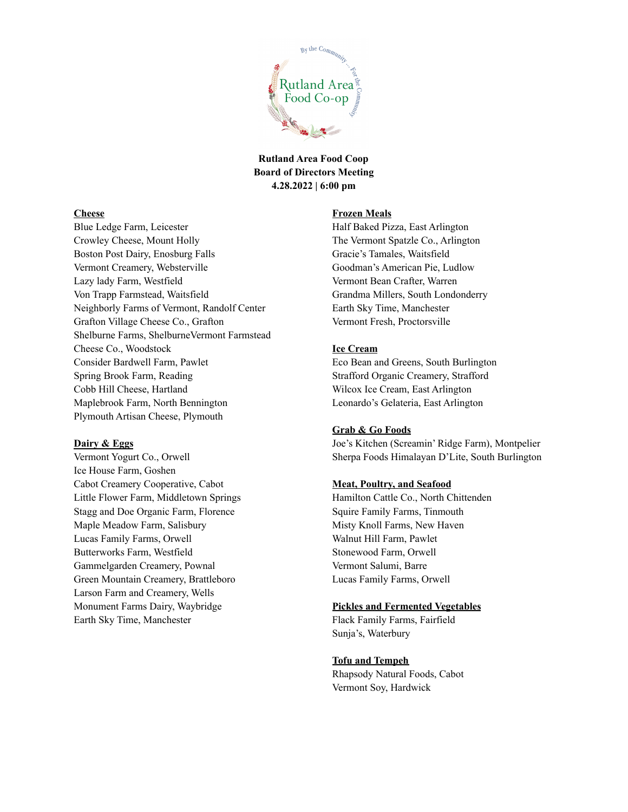

### **Cheese**

Blue Ledge Farm, Leicester Crowley Cheese, Mount Holly Boston Post Dairy, Enosburg Falls Vermont Creamery, Websterville Lazy lady Farm, Westfield Von Trapp Farmstead, Waitsfield Neighborly Farms of Vermont, Randolf Center Grafton Village Cheese Co., Grafton Shelburne Farms, ShelburneVermont Farmstead Cheese Co., Woodstock Consider Bardwell Farm, Pawlet Spring Brook Farm, Reading Cobb Hill Cheese, Hartland Maplebrook Farm, North Bennington Plymouth Artisan Cheese, Plymouth

### **Dairy & Eggs**

Vermont Yogurt Co., Orwell Ice House Farm, Goshen Cabot Creamery Cooperative, Cabot Little Flower Farm, Middletown Springs Stagg and Doe Organic Farm, Florence Maple Meadow Farm, Salisbury Lucas Family Farms, Orwell Butterworks Farm, Westfield Gammelgarden Creamery, Pownal Green Mountain Creamery, Brattleboro Larson Farm and Creamery, Wells Monument Farms Dairy, Waybridge Earth Sky Time, Manchester

#### **Frozen Meals**

Half Baked Pizza, East Arlington The Vermont Spatzle Co., Arlington Gracie's Tamales, Waitsfield Goodman's American Pie, Ludlow Vermont Bean Crafter, Warren Grandma Millers, South Londonderry Earth Sky Time, Manchester Vermont Fresh, Proctorsville

### **Ice Cream**

Eco Bean and Greens, South Burlington Strafford Organic Creamery, Strafford Wilcox Ice Cream, East Arlington Leonardo's Gelateria, East Arlington

#### **Grab & Go Foods**

Joe's Kitchen (Screamin' Ridge Farm), Montpelier Sherpa Foods Himalayan D'Lite, South Burlington

#### **Meat, Poultry, and Seafood**

Hamilton Cattle Co., North Chittenden Squire Family Farms, Tinmouth Misty Knoll Farms, New Haven Walnut Hill Farm, Pawlet Stonewood Farm, Orwell Vermont Salumi, Barre Lucas Family Farms, Orwell

#### **Pickles and Fermented Vegetables**

Flack Family Farms, Fairfield Sunja's, Waterbury

#### **Tofu and Tempeh**

Rhapsody Natural Foods, Cabot Vermont Soy, Hardwick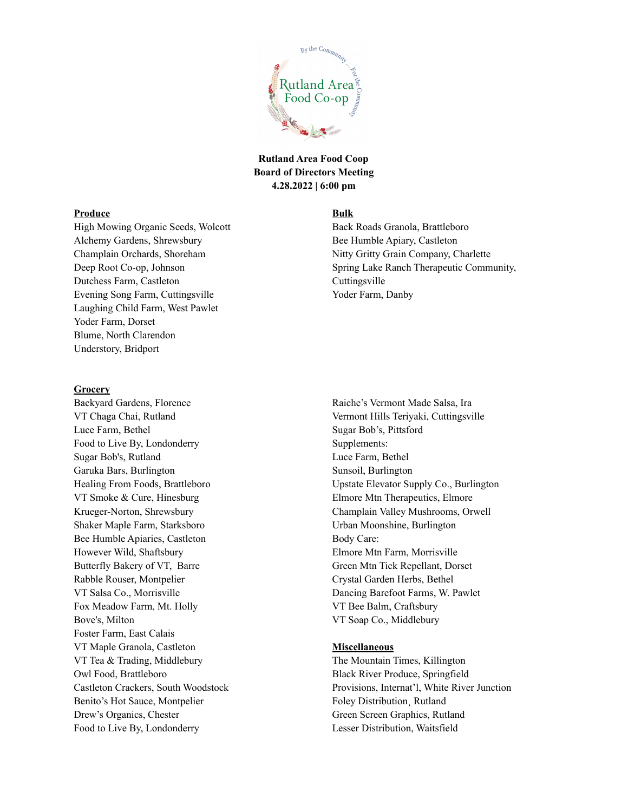

#### **Produce**

High Mowing Organic Seeds, Wolcott Alchemy Gardens, Shrewsbury Champlain Orchards, Shoreham Deep Root Co-op, Johnson Dutchess Farm, Castleton Evening Song Farm, Cuttingsville Laughing Child Farm, West Pawlet Yoder Farm, Dorset Blume, North Clarendon Understory, Bridport

#### **Grocery**

Backyard Gardens, Florence VT Chaga Chai, Rutland Luce Farm, Bethel Food to Live By, Londonderry Sugar Bob's, Rutland Garuka Bars, Burlington Healing From Foods, Brattleboro VT Smoke & Cure, Hinesburg Krueger-Norton, Shrewsbury Shaker Maple Farm, Starksboro Bee Humble Apiaries, Castleton However Wild, Shaftsbury Butterfly Bakery of VT, Barre Rabble Rouser, Montpelier VT Salsa Co., Morrisville Fox Meadow Farm, Mt. Holly Bove's, Milton Foster Farm, East Calais VT Maple Granola, Castleton VT Tea & Trading, Middlebury Owl Food, Brattleboro Castleton Crackers, South Woodstock Benito's Hot Sauce, Montpelier Drew's Organics, Chester Food to Live By, Londonderry

#### **Bulk**

Back Roads Granola, Brattleboro Bee Humble Apiary, Castleton Nitty Gritty Grain Company, Charlette Spring Lake Ranch Therapeutic Community, Cuttingsville Yoder Farm, Danby

Raiche's Vermont Made Salsa, Ira Vermont Hills Teriyaki, Cuttingsville Sugar Bob's, Pittsford Supplements: Luce Farm, Bethel Sunsoil, Burlington Upstate Elevator Supply Co., Burlington Elmore Mtn Therapeutics, Elmore Champlain Valley Mushrooms, Orwell Urban Moonshine, Burlington Body Care: Elmore Mtn Farm, Morrisville Green Mtn Tick Repellant, Dorset Crystal Garden Herbs, Bethel Dancing Barefoot Farms, W. Pawlet VT Bee Balm, Craftsbury VT Soap Co., Middlebury

#### **Miscellaneous**

The Mountain Times, Killington Black River Produce, Springfield Provisions, Internat'l, White River Junction Foley Distribution¸ Rutland Green Screen Graphics, Rutland Lesser Distribution, Waitsfield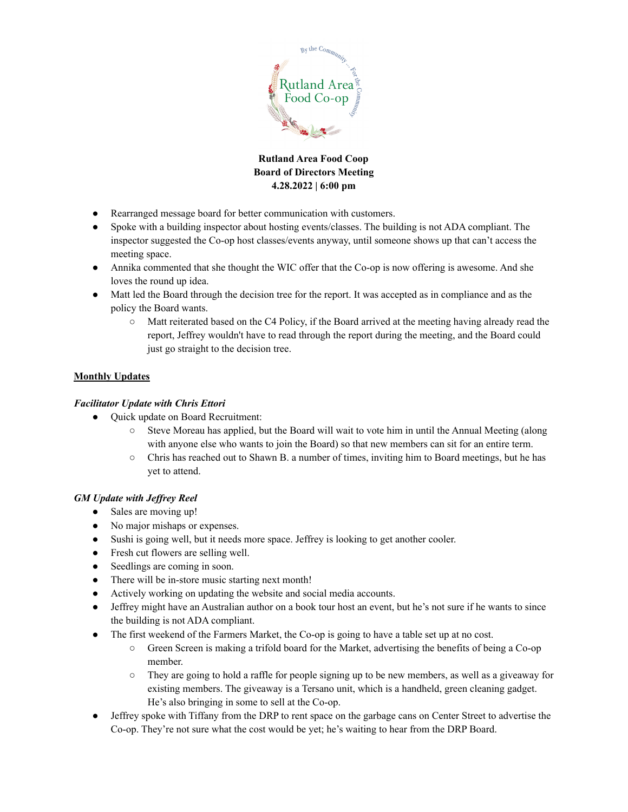

- Rearranged message board for better communication with customers.
- Spoke with a building inspector about hosting events/classes. The building is not ADA compliant. The inspector suggested the Co-op host classes/events anyway, until someone shows up that can't access the meeting space.
- Annika commented that she thought the WIC offer that the Co-op is now offering is awesome. And she loves the round up idea.
- Matt led the Board through the decision tree for the report. It was accepted as in compliance and as the policy the Board wants.
	- Matt reiterated based on the C4 Policy, if the Board arrived at the meeting having already read the report, Jeffrey wouldn't have to read through the report during the meeting, and the Board could just go straight to the decision tree.

# **Monthly Updates**

## *Facilitator Update with Chris Ettori*

- Quick update on Board Recruitment:
	- Steve Moreau has applied, but the Board will wait to vote him in until the Annual Meeting (along with anyone else who wants to join the Board) so that new members can sit for an entire term.
	- Chris has reached out to Shawn B. a number of times, inviting him to Board meetings, but he has yet to attend.

## *GM Update with Jef rey Reel*

- Sales are moving up!
- No major mishaps or expenses.
- Sushi is going well, but it needs more space. Jeffrey is looking to get another cooler.
- Fresh cut flowers are selling well.
- Seedlings are coming in soon.
- There will be in-store music starting next month!
- Actively working on updating the website and social media accounts.
- Jeffrey might have an Australian author on a book tour host an event, but he's not sure if he wants to since the building is not ADA compliant.
- The first weekend of the Farmers Market, the Co-op is going to have a table set up at no cost.
	- Green Screen is making a trifold board for the Market, advertising the benefits of being a Co-op member.
	- They are going to hold a raffle for people signing up to be new members, as well as a giveaway for existing members. The giveaway is a Tersano unit, which is a handheld, green cleaning gadget. He's also bringing in some to sell at the Co-op.
- Jeffrey spoke with Tiffany from the DRP to rent space on the garbage cans on Center Street to advertise the Co-op. They're not sure what the cost would be yet; he's waiting to hear from the DRP Board.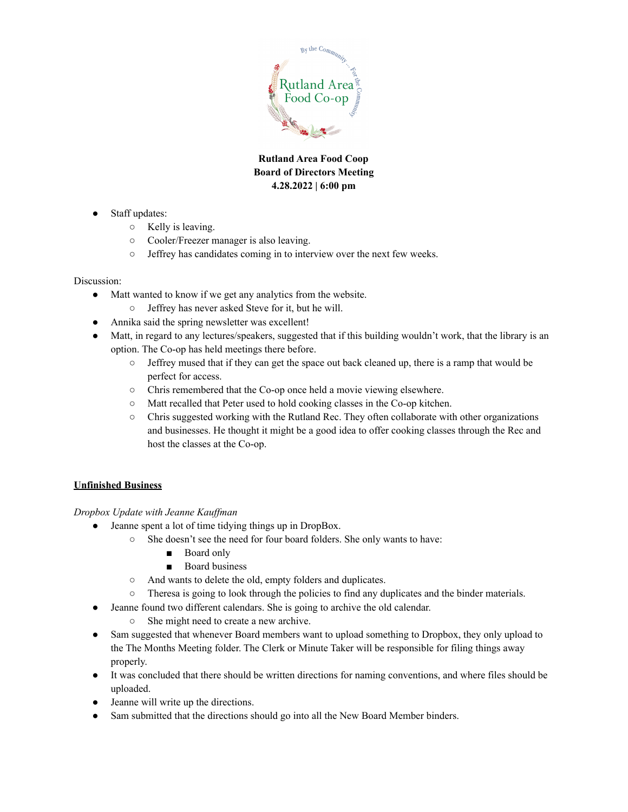

- Staff updates:
	- Kelly is leaving.
	- Cooler/Freezer manager is also leaving.
	- Jeffrey has candidates coming in to interview over the next few weeks.

### Discussion:

- Matt wanted to know if we get any analytics from the website.
	- Jeffrey has never asked Steve for it, but he will.
- Annika said the spring newsletter was excellent!
- Matt, in regard to any lectures/speakers, suggested that if this building wouldn't work, that the library is an option. The Co-op has held meetings there before.
	- Jeffrey mused that if they can get the space out back cleaned up, there is a ramp that would be perfect for access.
	- Chris remembered that the Co-op once held a movie viewing elsewhere.
	- Matt recalled that Peter used to hold cooking classes in the Co-op kitchen.
	- Chris suggested working with the Rutland Rec. They often collaborate with other organizations and businesses. He thought it might be a good idea to offer cooking classes through the Rec and host the classes at the Co-op.

# **Unfinished Business**

## *Dropbox Update with Jeanne Kauf man*

- Jeanne spent a lot of time tidying things up in DropBox.
	- She doesn't see the need for four board folders. She only wants to have:
		- Board only
		- Board business
	- And wants to delete the old, empty folders and duplicates.
	- Theresa is going to look through the policies to find any duplicates and the binder materials.
	- Jeanne found two different calendars. She is going to archive the old calendar.
		- She might need to create a new archive.
- Sam suggested that whenever Board members want to upload something to Dropbox, they only upload to the The Months Meeting folder. The Clerk or Minute Taker will be responsible for filing things away properly.
- It was concluded that there should be written directions for naming conventions, and where files should be uploaded.
- Jeanne will write up the directions.
- Sam submitted that the directions should go into all the New Board Member binders.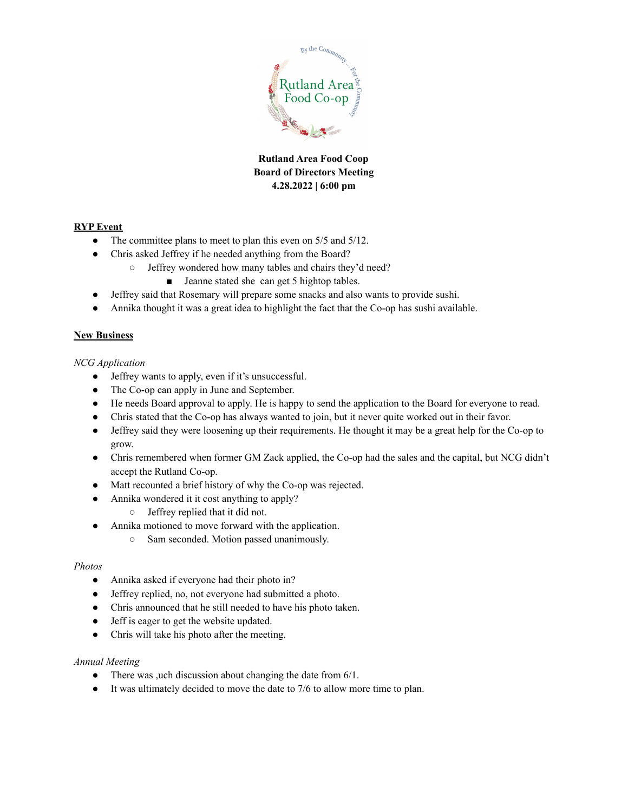

### **RYP Event**

- The committee plans to meet to plan this even on 5/5 and 5/12.
- Chris asked Jeffrey if he needed anything from the Board?
	- Jeffrey wondered how many tables and chairs they'd need?
		- Jeanne stated she can get 5 hightop tables.
- Jeffrey said that Rosemary will prepare some snacks and also wants to provide sushi.
- Annika thought it was a great idea to highlight the fact that the Co-op has sushi available.

### **New Business**

### *NCG Application*

- Jeffrey wants to apply, even if it's unsuccessful.
- The Co-op can apply in June and September.
- He needs Board approval to apply. He is happy to send the application to the Board for everyone to read.
- Chris stated that the Co-op has always wanted to join, but it never quite worked out in their favor.
- Jeffrey said they were loosening up their requirements. He thought it may be a great help for the Co-op to grow.
- Chris remembered when former GM Zack applied, the Co-op had the sales and the capital, but NCG didn't accept the Rutland Co-op.
- Matt recounted a brief history of why the Co-op was rejected.
- Annika wondered it it cost anything to apply?
	- Jeffrey replied that it did not.
- Annika motioned to move forward with the application.
	- Sam seconded. Motion passed unanimously.

### *Photos*

- Annika asked if everyone had their photo in?
- Jeffrey replied, no, not everyone had submitted a photo.
- Chris announced that he still needed to have his photo taken.
- Jeff is eager to get the website updated.
- Chris will take his photo after the meeting.

### *Annual Meeting*

- There was ,uch discussion about changing the date from 6/1.
- It was ultimately decided to move the date to 7/6 to allow more time to plan.